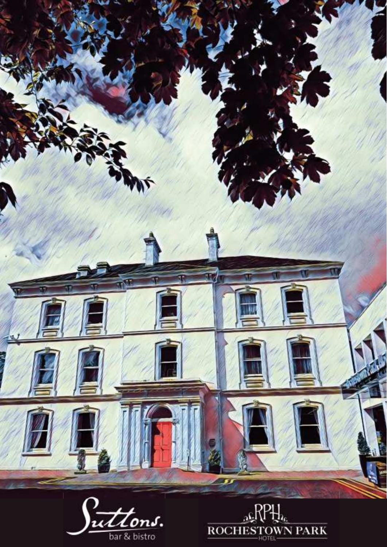

bar & bistro